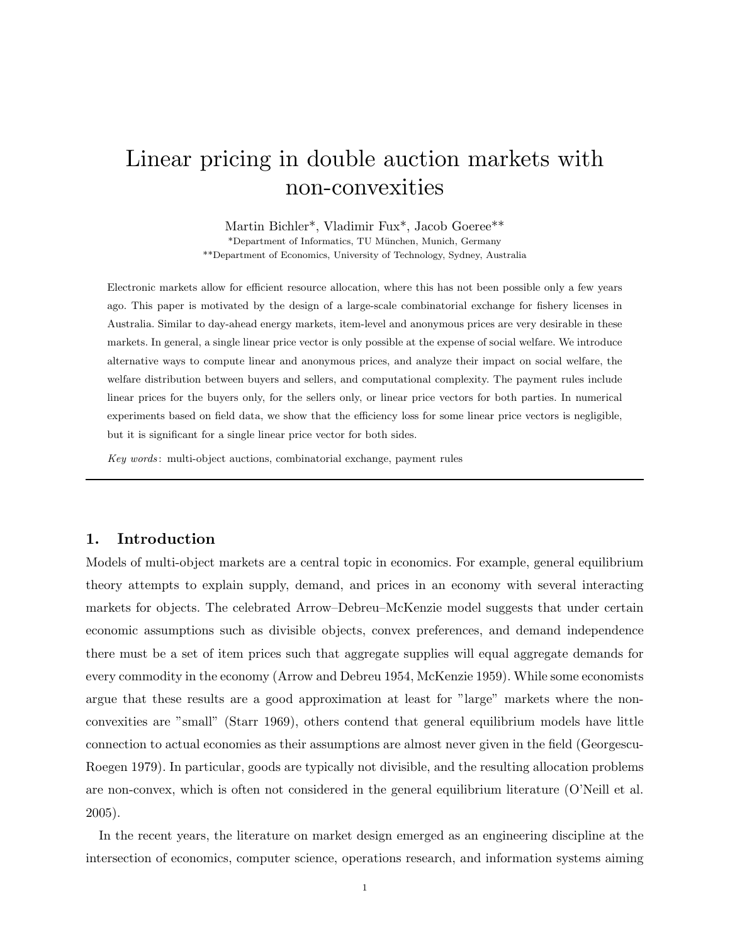# Linear pricing in double auction markets with non-convexities

Martin Bichler\*, Vladimir Fux\*, Jacob Goeree\*\* \*Department of Informatics, TU M¨unchen, Munich, Germany \*\*Department of Economics, University of Technology, Sydney, Australia

Electronic markets allow for efficient resource allocation, where this has not been possible only a few years ago. This paper is motivated by the design of a large-scale combinatorial exchange for fishery licenses in Australia. Similar to day-ahead energy markets, item-level and anonymous prices are very desirable in these markets. In general, a single linear price vector is only possible at the expense of social welfare. We introduce alternative ways to compute linear and anonymous prices, and analyze their impact on social welfare, the welfare distribution between buyers and sellers, and computational complexity. The payment rules include linear prices for the buyers only, for the sellers only, or linear price vectors for both parties. In numerical experiments based on field data, we show that the efficiency loss for some linear price vectors is negligible, but it is significant for a single linear price vector for both sides.

*Key words* : multi-object auctions, combinatorial exchange, payment rules

## **1. Introduction**

Models of multi-object markets are a central topic in economics. For example, general equilibrium theory attempts to explain supply, demand, and prices in an economy with several interacting markets for objects. The celebrated Arrow–Debreu–McKenzie model suggests that under certain economic assumptions such as divisible objects, convex preferences, and demand independence there must be a set of item prices such that aggregate supplies will equal aggregate demands for every commodity in the economy (Arrow and Debreu 1954, McKenzie 1959). While some economists argue that these results are a good approximation at least for "large" markets where the nonconvexities are "small" (Starr 1969), others contend that general equilibrium models have little connection to actual economies as their assumptions are almost never given in the field (Georgescu-Roegen 1979). In particular, goods are typically not divisible, and the resulting allocation problems are non-convex, which is often not considered in the general equilibrium literature (O'Neill et al. 2005).

In the recent years, the literature on market design emerged as an engineering discipline at the intersection of economics, computer science, operations research, and information systems aiming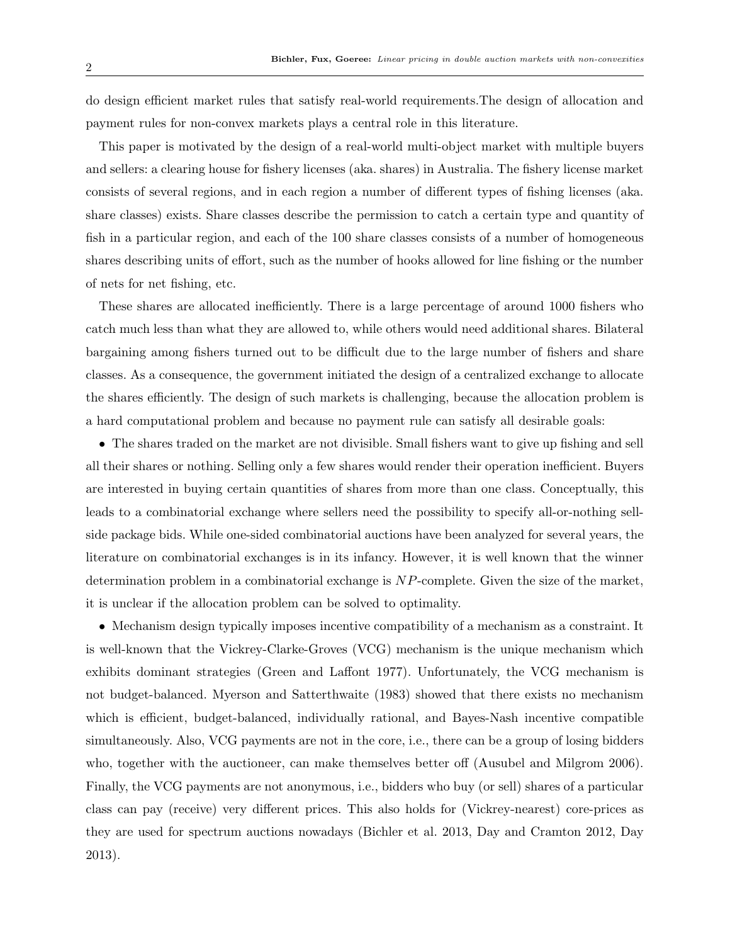do design efficient market rules that satisfy real-world requirements.The design of allocation and payment rules for non-convex markets plays a central role in this literature.

This paper is motivated by the design of a real-world multi-object market with multiple buyers and sellers: a clearing house for fishery licenses (aka. shares) in Australia. The fishery license market consists of several regions, and in each region a number of different types of fishing licenses (aka. share classes) exists. Share classes describe the permission to catch a certain type and quantity of fish in a particular region, and each of the 100 share classes consists of a number of homogeneous shares describing units of effort, such as the number of hooks allowed for line fishing or the number of nets for net fishing, etc.

These shares are allocated inefficiently. There is a large percentage of around 1000 fishers who catch much less than what they are allowed to, while others would need additional shares. Bilateral bargaining among fishers turned out to be difficult due to the large number of fishers and share classes. As a consequence, the government initiated the design of a centralized exchange to allocate the shares efficiently. The design of such markets is challenging, because the allocation problem is a hard computational problem and because no payment rule can satisfy all desirable goals:

• The shares traded on the market are not divisible. Small fishers want to give up fishing and sell all their shares or nothing. Selling only a few shares would render their operation inefficient. Buyers are interested in buying certain quantities of shares from more than one class. Conceptually, this leads to a combinatorial exchange where sellers need the possibility to specify all-or-nothing sellside package bids. While one-sided combinatorial auctions have been analyzed for several years, the literature on combinatorial exchanges is in its infancy. However, it is well known that the winner determination problem in a combinatorial exchange is *NP*-complete. Given the size of the market, it is unclear if the allocation problem can be solved to optimality.

• Mechanism design typically imposes incentive compatibility of a mechanism as a constraint. It is well-known that the Vickrey-Clarke-Groves (VCG) mechanism is the unique mechanism which exhibits dominant strategies (Green and Laffont 1977). Unfortunately, the VCG mechanism is not budget-balanced. Myerson and Satterthwaite (1983) showed that there exists no mechanism which is efficient, budget-balanced, individually rational, and Bayes-Nash incentive compatible simultaneously. Also, VCG payments are not in the core, i.e., there can be a group of losing bidders who, together with the auctioneer, can make themselves better off (Ausubel and Milgrom 2006). Finally, the VCG payments are not anonymous, i.e., bidders who buy (or sell) shares of a particular class can pay (receive) very different prices. This also holds for (Vickrey-nearest) core-prices as they are used for spectrum auctions nowadays (Bichler et al. 2013, Day and Cramton 2012, Day 2013).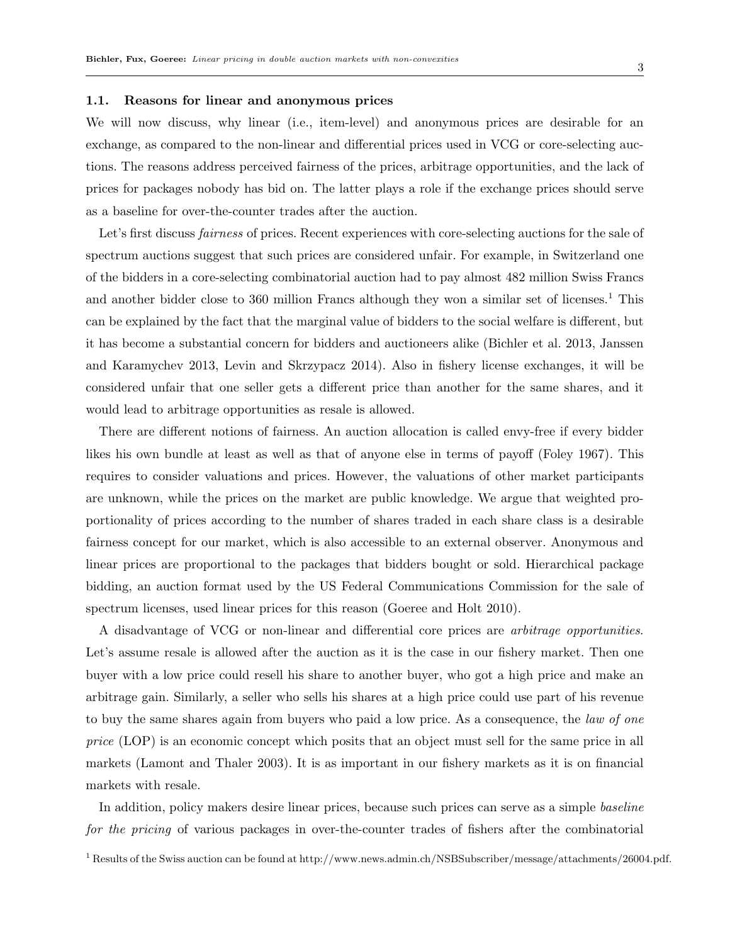#### **1.1. Reasons for linear and anonymous prices**

We will now discuss, why linear (i.e., item-level) and anonymous prices are desirable for an exchange, as compared to the non-linear and differential prices used in VCG or core-selecting auctions. The reasons address perceived fairness of the prices, arbitrage opportunities, and the lack of prices for packages nobody has bid on. The latter plays a role if the exchange prices should serve as a baseline for over-the-counter trades after the auction.

Let's first discuss *fairness* of prices. Recent experiences with core-selecting auctions for the sale of spectrum auctions suggest that such prices are considered unfair. For example, in Switzerland one of the bidders in a core-selecting combinatorial auction had to pay almost 482 million Swiss Francs and another bidder close to 360 million Francs although they won a similar set of licenses.<sup>1</sup> This can be explained by the fact that the marginal value of bidders to the social welfare is different, but it has become a substantial concern for bidders and auctioneers alike (Bichler et al. 2013, Janssen and Karamychev 2013, Levin and Skrzypacz 2014). Also in fishery license exchanges, it will be considered unfair that one seller gets a different price than another for the same shares, and it would lead to arbitrage opportunities as resale is allowed.

There are different notions of fairness. An auction allocation is called envy-free if every bidder likes his own bundle at least as well as that of anyone else in terms of payoff (Foley 1967). This requires to consider valuations and prices. However, the valuations of other market participants are unknown, while the prices on the market are public knowledge. We argue that weighted proportionality of prices according to the number of shares traded in each share class is a desirable fairness concept for our market, which is also accessible to an external observer. Anonymous and linear prices are proportional to the packages that bidders bought or sold. Hierarchical package bidding, an auction format used by the US Federal Communications Commission for the sale of spectrum licenses, used linear prices for this reason (Goeree and Holt 2010).

A disadvantage of VCG or non-linear and differential core prices are *arbitrage opportunities*. Let's assume resale is allowed after the auction as it is the case in our fishery market. Then one buyer with a low price could resell his share to another buyer, who got a high price and make an arbitrage gain. Similarly, a seller who sells his shares at a high price could use part of his revenue to buy the same shares again from buyers who paid a low price. As a consequence, the *law of one price* (LOP) is an economic concept which posits that an object must sell for the same price in all markets (Lamont and Thaler 2003). It is as important in our fishery markets as it is on financial markets with resale.

In addition, policy makers desire linear prices, because such prices can serve as a simple *baseline for the pricing* of various packages in over-the-counter trades of fishers after the combinatorial

<sup>1</sup> Results of the Swiss auction can be found at http://www.news.admin.ch/NSBSubscriber/message/attachments/26004.pdf.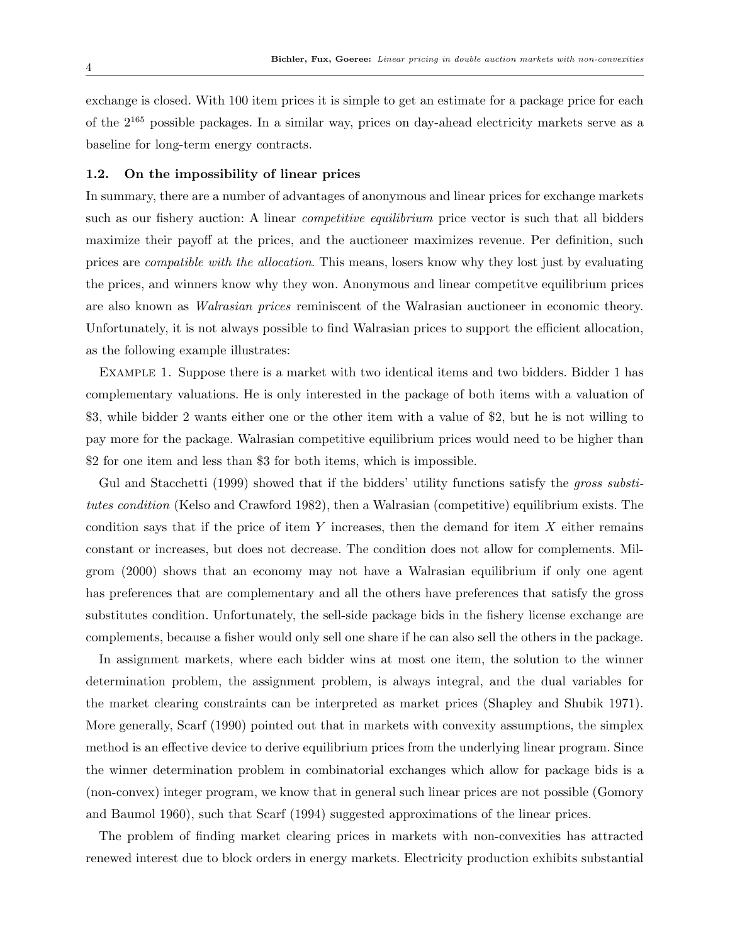exchange is closed. With 100 item prices it is simple to get an estimate for a package price for each of the 2<sup>165</sup> possible packages. In a similar way, prices on day-ahead electricity markets serve as a baseline for long-term energy contracts.

#### **1.2. On the impossibility of linear prices**

In summary, there are a number of advantages of anonymous and linear prices for exchange markets such as our fishery auction: A linear *competitive equilibrium* price vector is such that all bidders maximize their payoff at the prices, and the auctioneer maximizes revenue. Per definition, such prices are *compatible with the allocation*. This means, losers know why they lost just by evaluating the prices, and winners know why they won. Anonymous and linear competitve equilibrium prices are also known as *Walrasian prices* reminiscent of the Walrasian auctioneer in economic theory. Unfortunately, it is not always possible to find Walrasian prices to support the efficient allocation, as the following example illustrates:

Example 1. Suppose there is a market with two identical items and two bidders. Bidder 1 has complementary valuations. He is only interested in the package of both items with a valuation of \$3, while bidder 2 wants either one or the other item with a value of \$2, but he is not willing to pay more for the package. Walrasian competitive equilibrium prices would need to be higher than \$2 for one item and less than \$3 for both items, which is impossible.

Gul and Stacchetti (1999) showed that if the bidders' utility functions satisfy the *gross substitutes condition* (Kelso and Crawford 1982), then a Walrasian (competitive) equilibrium exists. The condition says that if the price of item *Y* increases, then the demand for item *X* either remains constant or increases, but does not decrease. The condition does not allow for complements. Milgrom (2000) shows that an economy may not have a Walrasian equilibrium if only one agent has preferences that are complementary and all the others have preferences that satisfy the gross substitutes condition. Unfortunately, the sell-side package bids in the fishery license exchange are complements, because a fisher would only sell one share if he can also sell the others in the package.

In assignment markets, where each bidder wins at most one item, the solution to the winner determination problem, the assignment problem, is always integral, and the dual variables for the market clearing constraints can be interpreted as market prices (Shapley and Shubik 1971). More generally, Scarf (1990) pointed out that in markets with convexity assumptions, the simplex method is an effective device to derive equilibrium prices from the underlying linear program. Since the winner determination problem in combinatorial exchanges which allow for package bids is a (non-convex) integer program, we know that in general such linear prices are not possible (Gomory and Baumol 1960), such that Scarf (1994) suggested approximations of the linear prices.

The problem of finding market clearing prices in markets with non-convexities has attracted renewed interest due to block orders in energy markets. Electricity production exhibits substantial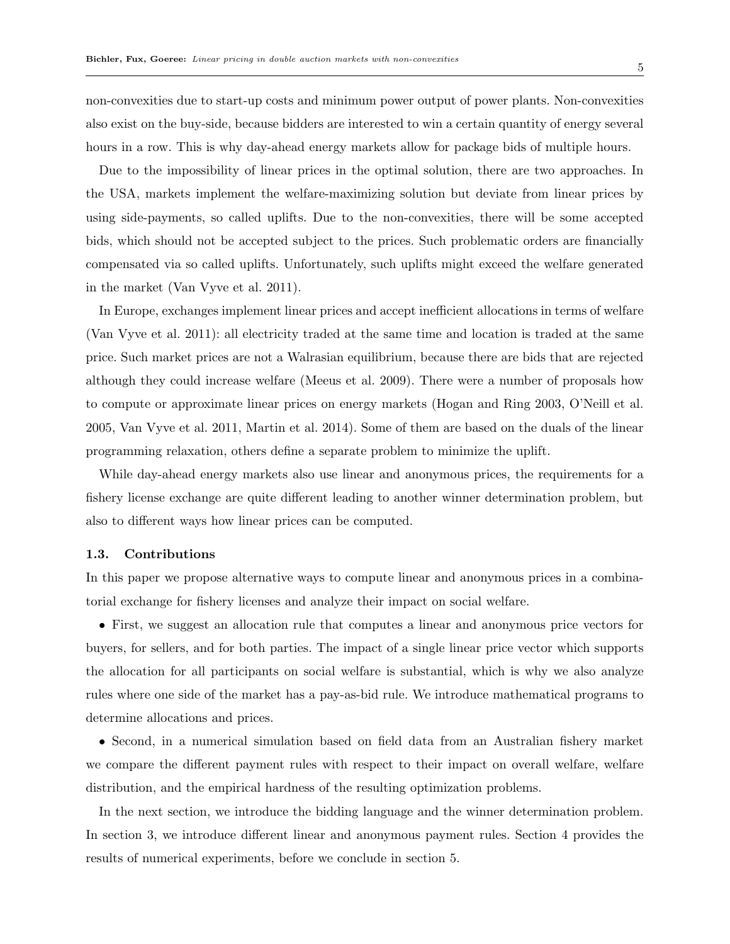non-convexities due to start-up costs and minimum power output of power plants. Non-convexities also exist on the buy-side, because bidders are interested to win a certain quantity of energy several hours in a row. This is why day-ahead energy markets allow for package bids of multiple hours.

Due to the impossibility of linear prices in the optimal solution, there are two approaches. In the USA, markets implement the welfare-maximizing solution but deviate from linear prices by using side-payments, so called uplifts. Due to the non-convexities, there will be some accepted bids, which should not be accepted subject to the prices. Such problematic orders are financially compensated via so called uplifts. Unfortunately, such uplifts might exceed the welfare generated in the market (Van Vyve et al. 2011).

In Europe, exchanges implement linear prices and accept inefficient allocations in terms of welfare (Van Vyve et al. 2011): all electricity traded at the same time and location is traded at the same price. Such market prices are not a Walrasian equilibrium, because there are bids that are rejected although they could increase welfare (Meeus et al. 2009). There were a number of proposals how to compute or approximate linear prices on energy markets (Hogan and Ring 2003, O'Neill et al. 2005, Van Vyve et al. 2011, Martin et al. 2014). Some of them are based on the duals of the linear programming relaxation, others define a separate problem to minimize the uplift.

While day-ahead energy markets also use linear and anonymous prices, the requirements for a fishery license exchange are quite different leading to another winner determination problem, but also to different ways how linear prices can be computed.

## **1.3. Contributions**

In this paper we propose alternative ways to compute linear and anonymous prices in a combinatorial exchange for fishery licenses and analyze their impact on social welfare.

• First, we suggest an allocation rule that computes a linear and anonymous price vectors for buyers, for sellers, and for both parties. The impact of a single linear price vector which supports the allocation for all participants on social welfare is substantial, which is why we also analyze rules where one side of the market has a pay-as-bid rule. We introduce mathematical programs to determine allocations and prices.

• Second, in a numerical simulation based on field data from an Australian fishery market we compare the different payment rules with respect to their impact on overall welfare, welfare distribution, and the empirical hardness of the resulting optimization problems.

In the next section, we introduce the bidding language and the winner determination problem. In section 3, we introduce different linear and anonymous payment rules. Section 4 provides the results of numerical experiments, before we conclude in section 5.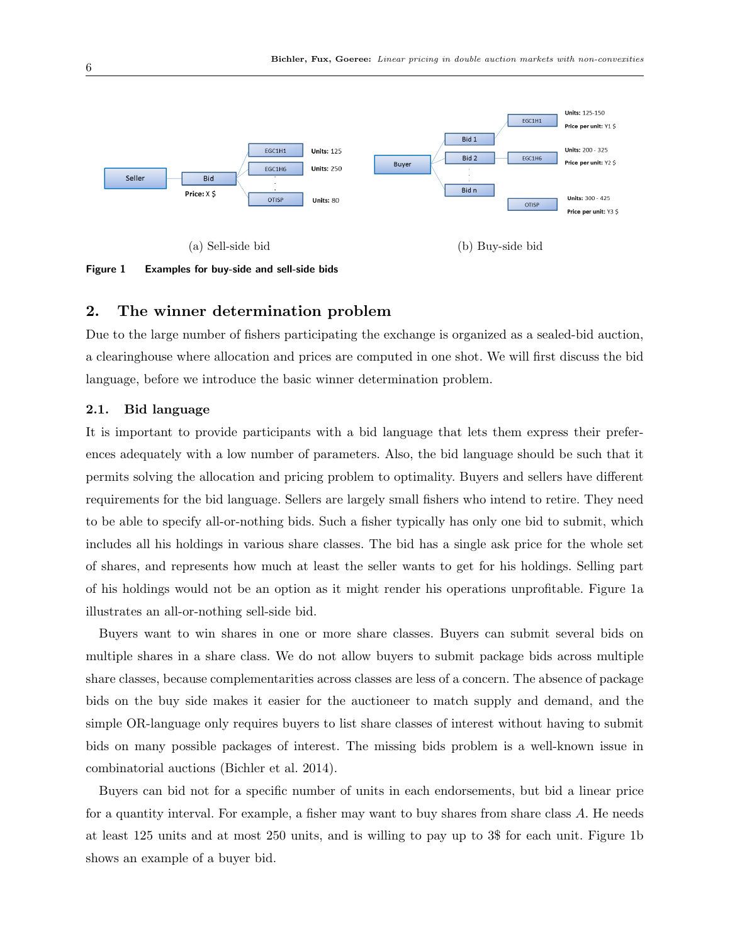

**Figure 1 Examples for buy-side and sell-side bids**

## **2. The winner determination problem**

Due to the large number of fishers participating the exchange is organized as a sealed-bid auction, a clearinghouse where allocation and prices are computed in one shot. We will first discuss the bid language, before we introduce the basic winner determination problem.

## **2.1. Bid language**

It is important to provide participants with a bid language that lets them express their preferences adequately with a low number of parameters. Also, the bid language should be such that it permits solving the allocation and pricing problem to optimality. Buyers and sellers have different requirements for the bid language. Sellers are largely small fishers who intend to retire. They need to be able to specify all-or-nothing bids. Such a fisher typically has only one bid to submit, which includes all his holdings in various share classes. The bid has a single ask price for the whole set of shares, and represents how much at least the seller wants to get for his holdings. Selling part of his holdings would not be an option as it might render his operations unprofitable. Figure 1a illustrates an all-or-nothing sell-side bid.

Buyers want to win shares in one or more share classes. Buyers can submit several bids on multiple shares in a share class. We do not allow buyers to submit package bids across multiple share classes, because complementarities across classes are less of a concern. The absence of package bids on the buy side makes it easier for the auctioneer to match supply and demand, and the simple OR-language only requires buyers to list share classes of interest without having to submit bids on many possible packages of interest. The missing bids problem is a well-known issue in combinatorial auctions (Bichler et al. 2014).

Buyers can bid not for a specific number of units in each endorsements, but bid a linear price for a quantity interval. For example, a fisher may want to buy shares from share class *A*. He needs at least 125 units and at most 250 units, and is willing to pay up to 3\$ for each unit. Figure 1b shows an example of a buyer bid.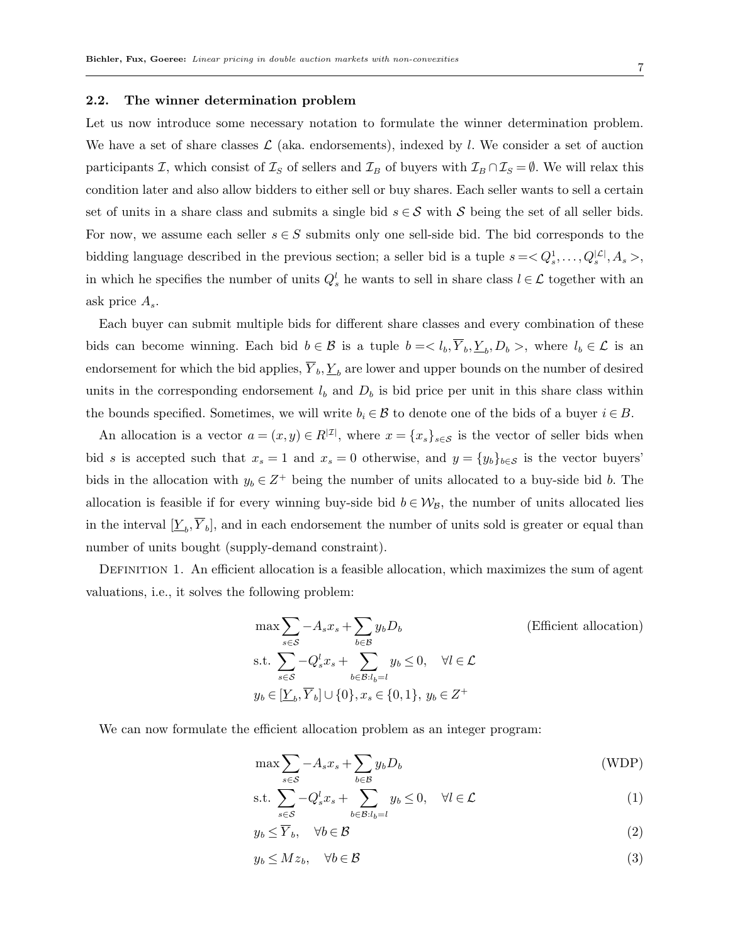#### **2.2. The winner determination problem**

Let us now introduce some necessary notation to formulate the winner determination problem. We have a set of share classes  $\mathcal{L}$  (aka. endorsements), indexed by *l*. We consider a set of auction participants *I*, which consist of  $\mathcal{I}_S$  of sellers and  $\mathcal{I}_B$  of buyers with  $\mathcal{I}_B \cap \mathcal{I}_S = \emptyset$ . We will relax this condition later and also allow bidders to either sell or buy shares. Each seller wants to sell a certain set of units in a share class and submits a single bid  $s \in S$  with *S* being the set of all seller bids. For now, we assume each seller  $s \in S$  submits only one sell-side bid. The bid corresponds to the bidding language described in the previous section; a seller bid is a tuple  $s = \langle Q_s^1, \ldots, Q_s^{|{\cal L}|}, A_s \rangle$ , in which he specifies the number of units  $Q_s^l$  he wants to sell in share class  $l \in \mathcal{L}$  together with an ask price *As*.

Each buyer can submit multiple bids for different share classes and every combination of these bids can become winning. Each bid  $b \in \mathcal{B}$  is a tuple  $b = \langle l_b, Y_b, \underline{Y}_b, D_b \rangle$ , where  $l_b \in \mathcal{L}$  is an endorsement for which the bid applies,  $\overline{Y}_b$ ,  $\underline{Y}_b$  are lower and upper bounds on the number of desired units in the corresponding endorsement  $l<sub>b</sub>$  and  $D<sub>b</sub>$  is bid price per unit in this share class within the bounds specified. Sometimes, we will write  $b_i \in \mathcal{B}$  to denote one of the bids of a buyer  $i \in B$ .

An allocation is a vector  $a = (x, y) \in R^{|{\mathcal{I}}|}$ , where  $x = \{x_s\}_{s \in {\mathcal{S}}}$  is the vector of seller bids when bid *s* is accepted such that  $x_s = 1$  and  $x_s = 0$  otherwise, and  $y = \{y_b\}_{b \in S}$  is the vector buyers' bids in the allocation with  $y_b \in Z^+$  being the number of units allocated to a buy-side bid *b*. The allocation is feasible if for every winning buy-side bid  $b \in W_B$ , the number of units allocated lies in the interval  $[\underline{Y}_b, Y_b]$ , and in each endorsement the number of units sold is greater or equal than number of units bought (supply-demand constraint).

DEFINITION 1. An efficient allocation is a feasible allocation, which maximizes the sum of agent valuations, i.e., it solves the following problem:

$$
\max \sum_{s \in \mathcal{S}} -A_s x_s + \sum_{b \in \mathcal{B}} y_b D_b
$$
 (Efficient allocation)  
s.t. 
$$
\sum_{s \in \mathcal{S}} -Q_s^l x_s + \sum_{b \in \mathcal{B}: l_b = l} y_b \le 0, \quad \forall l \in \mathcal{L}
$$
  

$$
y_b \in [\underline{Y}_b, \overline{Y}_b] \cup \{0\}, x_s \in \{0, 1\}, y_b \in Z^+
$$

We can now formulate the efficient allocation problem as an integer program:

$$
\max \sum_{s \in \mathcal{S}} -A_s x_s + \sum_{b \in \mathcal{B}} y_b D_b \tag{WDP}
$$

$$
\text{s.t. } \sum_{s \in \mathcal{S}} -Q_s^l x_s + \sum_{b \in \mathcal{B}: l_b = l} y_b \le 0, \quad \forall l \in \mathcal{L} \tag{1}
$$

$$
y_b \le \overline{Y}_b, \quad \forall b \in \mathcal{B} \tag{2}
$$

$$
y_b \le M z_b, \quad \forall b \in \mathcal{B} \tag{3}
$$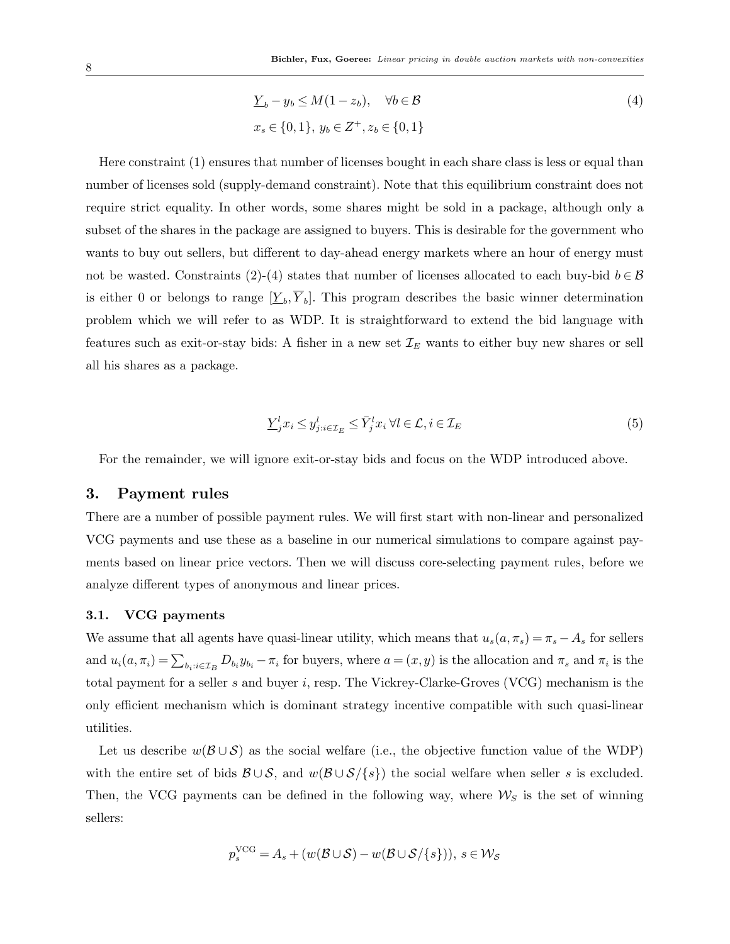$$
\underline{Y}_b - y_b \le M(1 - z_b), \quad \forall b \in \mathcal{B}
$$
  

$$
x_s \in \{0, 1\}, y_b \in Z^+, z_b \in \{0, 1\}
$$
 (4)

Here constraint (1) ensures that number of licenses bought in each share class is less or equal than number of licenses sold (supply-demand constraint). Note that this equilibrium constraint does not require strict equality. In other words, some shares might be sold in a package, although only a subset of the shares in the package are assigned to buyers. This is desirable for the government who wants to buy out sellers, but different to day-ahead energy markets where an hour of energy must not be wasted. Constraints (2)-(4) states that number of licenses allocated to each buy-bid  $b \in \mathcal{B}$ is either 0 or belongs to range  $[\underline{Y}_b, \overline{Y}_b]$ . This program describes the basic winner determination problem which we will refer to as WDP. It is straightforward to extend the bid language with features such as exit-or-stay bids: A fisher in a new set *I<sup>E</sup>* wants to either buy new shares or sell all his shares as a package.

$$
\underline{Y}_{j}^{l} x_{i} \leq y_{j:i \in \mathcal{I}_{E}}^{l} \leq \bar{Y}_{j}^{l} x_{i} \,\forall l \in \mathcal{L}, i \in \mathcal{I}_{E}
$$
\n
$$
\tag{5}
$$

For the remainder, we will ignore exit-or-stay bids and focus on the WDP introduced above.

## **3. Payment rules**

There are a number of possible payment rules. We will first start with non-linear and personalized VCG payments and use these as a baseline in our numerical simulations to compare against payments based on linear price vectors. Then we will discuss core-selecting payment rules, before we analyze different types of anonymous and linear prices.

#### **3.1. VCG payments**

We assume that all agents have quasi-linear utility, which means that  $u_s(a, \pi_s) = \pi_s - A_s$  for sellers and  $u_i(a, \pi_i) = \sum_{b_i : i \in \mathcal{I}_B} D_{b_i} y_{b_i} - \pi_i$  for buyers, where  $a = (x, y)$  is the allocation and  $\pi_s$  and  $\pi_i$  is the total payment for a seller *s* and buyer *i*, resp. The Vickrey-Clarke-Groves (VCG) mechanism is the only efficient mechanism which is dominant strategy incentive compatible with such quasi-linear utilities.

Let us describe *w*(*B ∪ S*) as the social welfare (i.e., the objective function value of the WDP) with the entire set of bids  $\mathcal{B} \cup \mathcal{S}$ , and  $w(\mathcal{B} \cup \mathcal{S}/\{s\})$  the social welfare when seller *s* is excluded. Then, the VCG payments can be defined in the following way, where  $\mathcal{W}_S$  is the set of winning sellers:

$$
p_s^{\text{VCG}} = A_s + (w(\mathcal{B} \cup \mathcal{S}) - w(\mathcal{B} \cup \mathcal{S}/\{s\})), \ s \in \mathcal{W}_{\mathcal{S}}
$$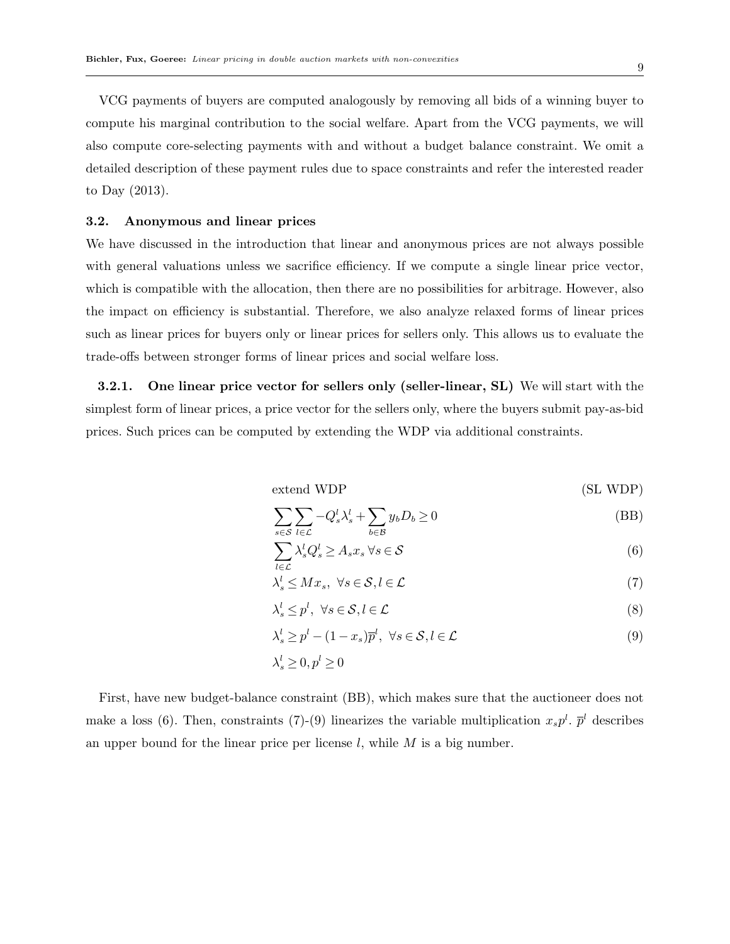VCG payments of buyers are computed analogously by removing all bids of a winning buyer to compute his marginal contribution to the social welfare. Apart from the VCG payments, we will also compute core-selecting payments with and without a budget balance constraint. We omit a detailed description of these payment rules due to space constraints and refer the interested reader to Day (2013).

#### **3.2. Anonymous and linear prices**

We have discussed in the introduction that linear and anonymous prices are not always possible with general valuations unless we sacrifice efficiency. If we compute a single linear price vector, which is compatible with the allocation, then there are no possibilities for arbitrage. However, also the impact on efficiency is substantial. Therefore, we also analyze relaxed forms of linear prices such as linear prices for buyers only or linear prices for sellers only. This allows us to evaluate the trade-offs between stronger forms of linear prices and social welfare loss.

**3.2.1. One linear price vector for sellers only (seller-linear, SL)** We will start with the simplest form of linear prices, a price vector for the sellers only, where the buyers submit pay-as-bid prices. Such prices can be computed by extending the WDP via additional constraints.

extend WDP (SL WDP)

$$
\sum_{s \in \mathcal{S}} \sum_{l \in \mathcal{L}} -Q_s^l \lambda_s^l + \sum_{b \in \mathcal{B}} y_b D_b \ge 0
$$
 (BB)

$$
\sum_{l \in \mathcal{L}} \lambda_s^l Q_s^l \ge A_s x_s \,\forall s \in \mathcal{S} \tag{6}
$$

$$
\lambda_s^l \le Mx_s, \ \forall s \in \mathcal{S}, l \in \mathcal{L}
$$
 (7)

$$
\lambda_s^l \le p^l, \ \forall s \in \mathcal{S}, l \in \mathcal{L} \tag{8}
$$

$$
\lambda_s^l \ge p^l - (1 - x_s)\overline{p}^l, \ \forall s \in \mathcal{S}, l \in \mathcal{L}
$$
\n
$$
(9)
$$

$$
\lambda_s^l \geq 0, p^l \geq 0
$$

First, have new budget-balance constraint (BB), which makes sure that the auctioneer does not make a loss (6). Then, constraints (7)-(9) linearizes the variable multiplication  $x_s p^l$ .  $\bar{p}^l$  describes an upper bound for the linear price per license *l*, while *M* is a big number.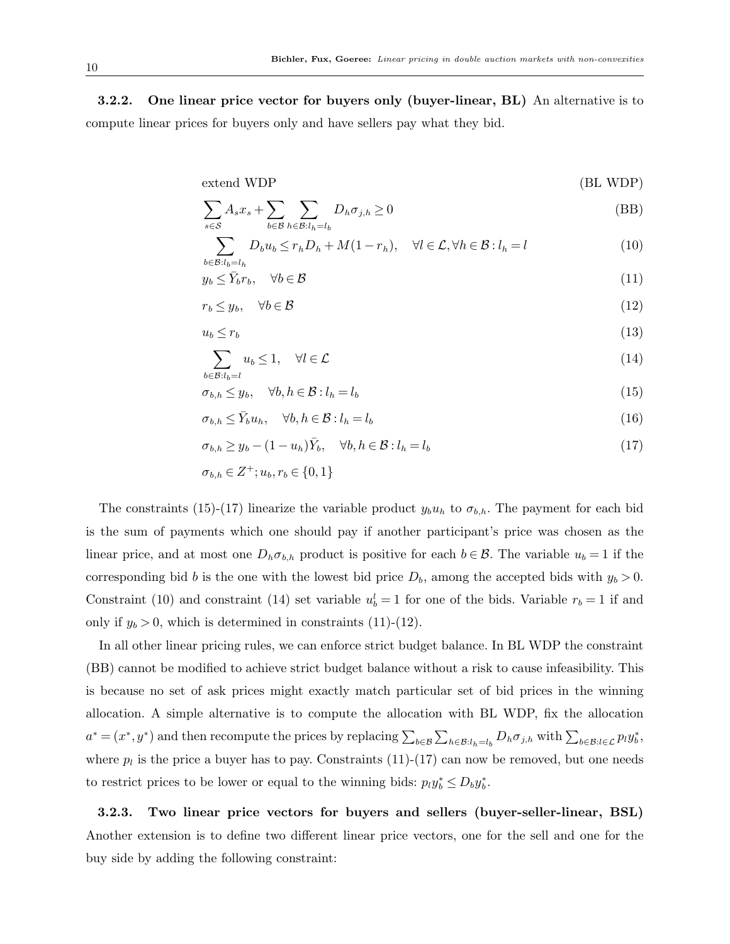**3.2.2. One linear price vector for buyers only (buyer-linear, BL)** An alternative is to compute linear prices for buyers only and have sellers pay what they bid.

extend WDP (BL WDP)

$$
\sum_{s \in \mathcal{S}} A_s x_s + \sum_{b \in \mathcal{B}} \sum_{h \in \mathcal{B}: l_h = l_b} D_h \sigma_{j,h} \ge 0
$$
 (BB)

$$
\sum_{b \in \mathcal{B}: l_b = l_h} D_b u_b \le r_h D_h + M(1 - r_h), \quad \forall l \in \mathcal{L}, \forall h \in \mathcal{B}: l_h = l \tag{10}
$$

$$
y_b \le \bar{Y}_b r_b, \quad \forall b \in \mathcal{B} \tag{11}
$$

$$
r_b \leq y_b, \quad \forall b \in \mathcal{B} \tag{12}
$$

$$
u_b \le r_b \tag{13}
$$

$$
\sum_{b \in \mathcal{B}: l_b = l} u_b \le 1, \quad \forall l \in \mathcal{L}
$$
\n
$$
(14)
$$

$$
\sigma_{b,h} \le y_b, \quad \forall b, h \in \mathcal{B} : l_h = l_b \tag{15}
$$

$$
\sigma_{b,h} \le \bar{Y}_b u_h, \quad \forall b, h \in \mathcal{B} : l_h = l_b \tag{16}
$$

$$
\sigma_{b,h} \ge y_b - (1 - u_h)\bar{Y}_b, \quad \forall b, h \in \mathcal{B} : l_h = l_b \tag{17}
$$

$$
\sigma_{b,h} \in Z^+; u_b, r_b \in \{0, 1\}
$$

The constraints (15)-(17) linearize the variable product  $y_b u_h$  to  $\sigma_{b,h}$ . The payment for each bid is the sum of payments which one should pay if another participant's price was chosen as the linear price, and at most one  $D_h \sigma_{b,h}$  product is positive for each  $b \in \mathcal{B}$ . The variable  $u_b = 1$  if the corresponding bid *b* is the one with the lowest bid price  $D_b$ , among the accepted bids with  $y_b > 0$ . Constraint (10) and constraint (14) set variable  $u_b^l = 1$  for one of the bids. Variable  $r_b = 1$  if and only if  $y_b > 0$ , which is determined in constraints (11)-(12).

In all other linear pricing rules, we can enforce strict budget balance. In BL WDP the constraint (BB) cannot be modified to achieve strict budget balance without a risk to cause infeasibility. This is because no set of ask prices might exactly match particular set of bid prices in the winning allocation. A simple alternative is to compute the allocation with BL WDP, fix the allocation  $a^* = (x^*, y^*)$  and then recompute the prices by replacing  $\sum_{b \in \mathcal{B}} \sum_{h \in \mathcal{B}:l_h=l_b} D_h \sigma_{j,h}$  with  $\sum_{b \in \mathcal{B}:l \in \mathcal{L}} p_l y_b^*$ , where  $p_l$  is the price a buyer has to pay. Constraints  $(11)-(17)$  can now be removed, but one needs to restrict prices to be lower or equal to the winning bids:  $p_i y_b^* \leq D_b y_b^*$ .

**3.2.3. Two linear price vectors for buyers and sellers (buyer-seller-linear, BSL)** Another extension is to define two different linear price vectors, one for the sell and one for the buy side by adding the following constraint: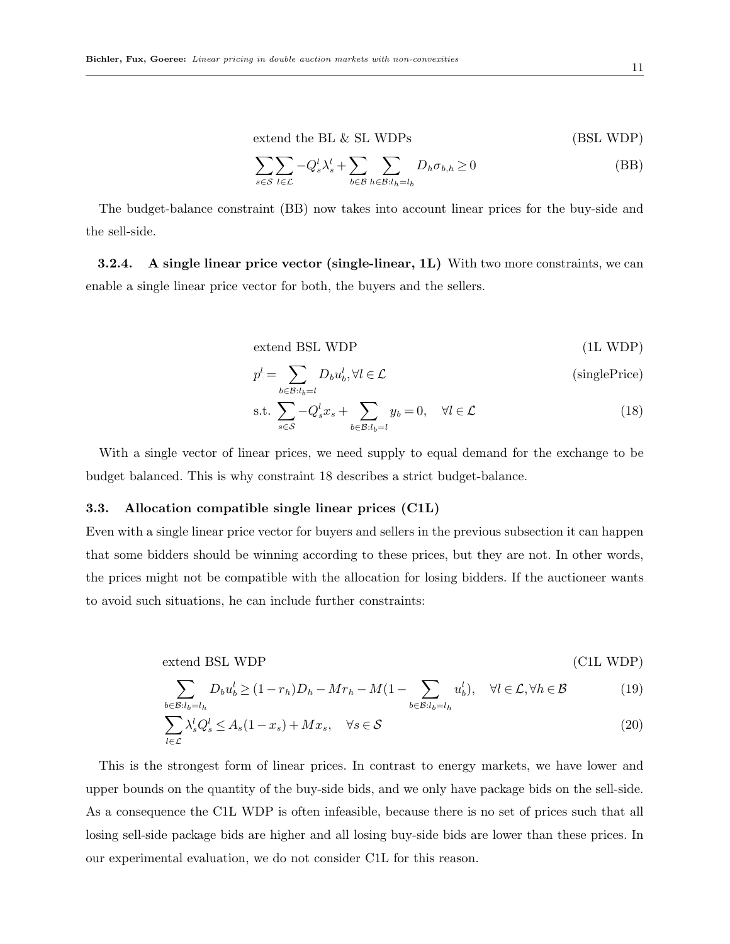$$
extend the BL & SL WDPs \tag{BSL WDP}
$$

$$
\sum_{s \in \mathcal{S}} \sum_{l \in \mathcal{L}} -Q_s^l \lambda_s^l + \sum_{b \in \mathcal{B}} \sum_{h \in \mathcal{B}: l_h = l_b} D_h \sigma_{b,h} \ge 0
$$
 (BB)

The budget-balance constraint (BB) now takes into account linear prices for the buy-side and the sell-side.

**3.2.4. A single linear price vector (single-linear, 1L)** With two more constraints, we can enable a single linear price vector for both, the buyers and the sellers.

extend BSL WDP (1L WDP)

$$
p^{l} = \sum_{b \in \mathcal{B}: l_{b} = l} D_{b} u_{b}^{l}, \forall l \in \mathcal{L}
$$
 (singlePrice)

s.t. 
$$
\sum_{s \in \mathcal{S}} -Q_s^l x_s + \sum_{b \in \mathcal{B}: l_b = l} y_b = 0, \quad \forall l \in \mathcal{L}
$$
 (18)

With a single vector of linear prices, we need supply to equal demand for the exchange to be budget balanced. This is why constraint 18 describes a strict budget-balance.

#### **3.3. Allocation compatible single linear prices (C1L)**

Even with a single linear price vector for buyers and sellers in the previous subsection it can happen that some bidders should be winning according to these prices, but they are not. In other words, the prices might not be compatible with the allocation for losing bidders. If the auctioneer wants to avoid such situations, he can include further constraints:

$$
ext{end BSL WDP} \tag{C1L WDP}
$$

$$
\sum_{b \in \mathcal{B}:l_b=l_h} D_b u_b^l \ge (1 - r_h)D_h - Mr_h - M(1 - \sum_{b \in \mathcal{B}:l_b=l_h} u_b^l), \quad \forall l \in \mathcal{L}, \forall h \in \mathcal{B}
$$
(19)

$$
\sum_{l \in \mathcal{L}} \lambda_s^l Q_s^l \le A_s (1 - x_s) + M x_s, \quad \forall s \in \mathcal{S}
$$
\n(20)

This is the strongest form of linear prices. In contrast to energy markets, we have lower and upper bounds on the quantity of the buy-side bids, and we only have package bids on the sell-side. As a consequence the C1L WDP is often infeasible, because there is no set of prices such that all losing sell-side package bids are higher and all losing buy-side bids are lower than these prices. In our experimental evaluation, we do not consider C1L for this reason.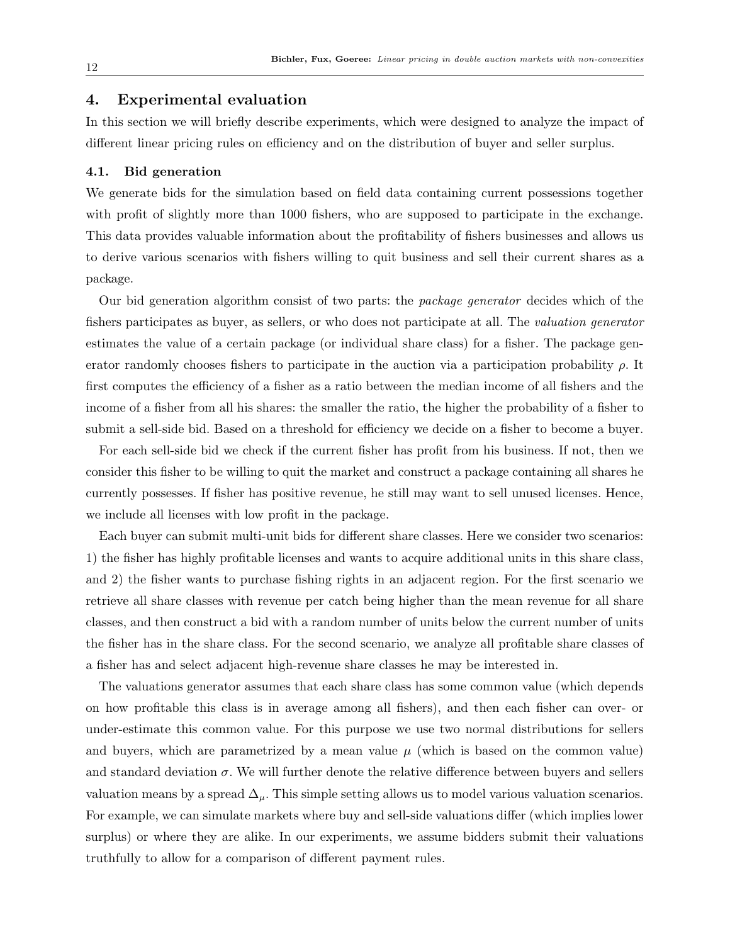## **4. Experimental evaluation**

In this section we will briefly describe experiments, which were designed to analyze the impact of different linear pricing rules on efficiency and on the distribution of buyer and seller surplus.

#### **4.1. Bid generation**

We generate bids for the simulation based on field data containing current possessions together with profit of slightly more than 1000 fishers, who are supposed to participate in the exchange. This data provides valuable information about the profitability of fishers businesses and allows us to derive various scenarios with fishers willing to quit business and sell their current shares as a package.

Our bid generation algorithm consist of two parts: the *package generator* decides which of the fishers participates as buyer, as sellers, or who does not participate at all. The *valuation generator* estimates the value of a certain package (or individual share class) for a fisher. The package generator randomly chooses fishers to participate in the auction via a participation probability *ρ*. It first computes the efficiency of a fisher as a ratio between the median income of all fishers and the income of a fisher from all his shares: the smaller the ratio, the higher the probability of a fisher to submit a sell-side bid. Based on a threshold for efficiency we decide on a fisher to become a buyer.

For each sell-side bid we check if the current fisher has profit from his business. If not, then we consider this fisher to be willing to quit the market and construct a package containing all shares he currently possesses. If fisher has positive revenue, he still may want to sell unused licenses. Hence, we include all licenses with low profit in the package.

Each buyer can submit multi-unit bids for different share classes. Here we consider two scenarios: 1) the fisher has highly profitable licenses and wants to acquire additional units in this share class, and 2) the fisher wants to purchase fishing rights in an adjacent region. For the first scenario we retrieve all share classes with revenue per catch being higher than the mean revenue for all share classes, and then construct a bid with a random number of units below the current number of units the fisher has in the share class. For the second scenario, we analyze all profitable share classes of a fisher has and select adjacent high-revenue share classes he may be interested in.

The valuations generator assumes that each share class has some common value (which depends on how profitable this class is in average among all fishers), and then each fisher can over- or under-estimate this common value. For this purpose we use two normal distributions for sellers and buyers, which are parametrized by a mean value  $\mu$  (which is based on the common value) and standard deviation  $\sigma$ . We will further denote the relative difference between buyers and sellers valuation means by a spread  $\Delta_\mu$ . This simple setting allows us to model various valuation scenarios. For example, we can simulate markets where buy and sell-side valuations differ (which implies lower surplus) or where they are alike. In our experiments, we assume bidders submit their valuations truthfully to allow for a comparison of different payment rules.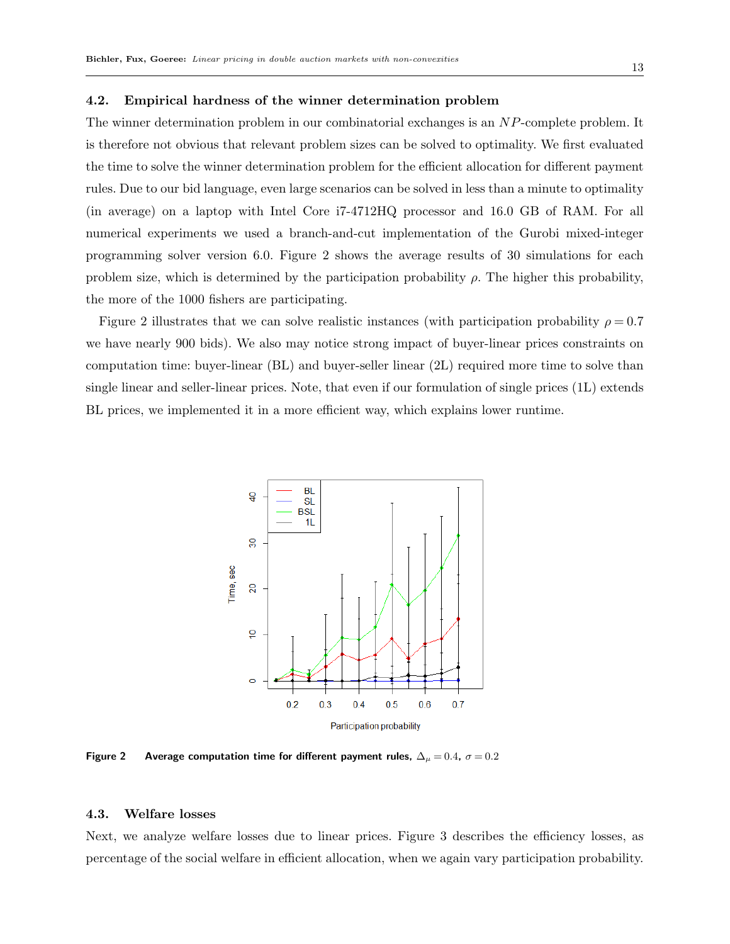#### **4.2. Empirical hardness of the winner determination problem**

The winner determination problem in our combinatorial exchanges is an *NP*-complete problem. It is therefore not obvious that relevant problem sizes can be solved to optimality. We first evaluated the time to solve the winner determination problem for the efficient allocation for different payment rules. Due to our bid language, even large scenarios can be solved in less than a minute to optimality (in average) on a laptop with Intel Core i7-4712HQ processor and 16.0 GB of RAM. For all numerical experiments we used a branch-and-cut implementation of the Gurobi mixed-integer programming solver version 6.0. Figure 2 shows the average results of 30 simulations for each problem size, which is determined by the participation probability  $\rho$ . The higher this probability, the more of the 1000 fishers are participating.

Figure 2 illustrates that we can solve realistic instances (with participation probability  $\rho = 0.7$ we have nearly 900 bids). We also may notice strong impact of buyer-linear prices constraints on computation time: buyer-linear (BL) and buyer-seller linear (2L) required more time to solve than single linear and seller-linear prices. Note, that even if our formulation of single prices (1L) extends BL prices, we implemented it in a more efficient way, which explains lower runtime.



**Figure 2** Average computation time for different payment rules,  $\Delta_{\mu} = 0.4$ ,  $\sigma = 0.2$ 

## **4.3. Welfare losses**

Next, we analyze welfare losses due to linear prices. Figure 3 describes the efficiency losses, as percentage of the social welfare in efficient allocation, when we again vary participation probability.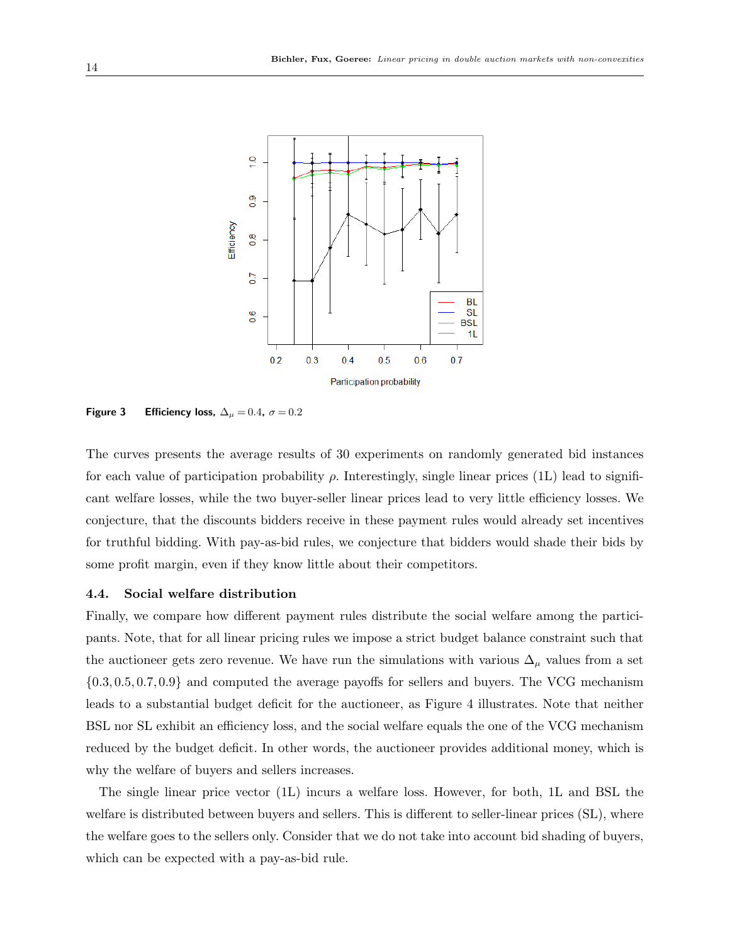

**Figure 3** Efficiency loss,  $\Delta_{\mu} = 0.4$ ,  $\sigma = 0.2$ 

The curves presents the average results of 30 experiments on randomly generated bid instances for each value of participation probability *ρ*. Interestingly, single linear prices (1L) lead to significant welfare losses, while the two buyer-seller linear prices lead to very little efficiency losses. We conjecture, that the discounts bidders receive in these payment rules would already set incentives for truthful bidding. With pay-as-bid rules, we conjecture that bidders would shade their bids by some profit margin, even if they know little about their competitors.

#### **4.4. Social welfare distribution**

Finally, we compare how different payment rules distribute the social welfare among the participants. Note, that for all linear pricing rules we impose a strict budget balance constraint such that the auctioneer gets zero revenue. We have run the simulations with various  $\Delta_{\mu}$  values from a set *{*0*.*3*,* 0*.*5*,* 0*.*7*,* 0*.*9*}* and computed the average payoffs for sellers and buyers. The VCG mechanism leads to a substantial budget deficit for the auctioneer, as Figure 4 illustrates. Note that neither BSL nor SL exhibit an efficiency loss, and the social welfare equals the one of the VCG mechanism reduced by the budget deficit. In other words, the auctioneer provides additional money, which is why the welfare of buyers and sellers increases.

The single linear price vector (1L) incurs a welfare loss. However, for both, 1L and BSL the welfare is distributed between buyers and sellers. This is different to seller-linear prices (SL), where the welfare goes to the sellers only. Consider that we do not take into account bid shading of buyers, which can be expected with a pay-as-bid rule.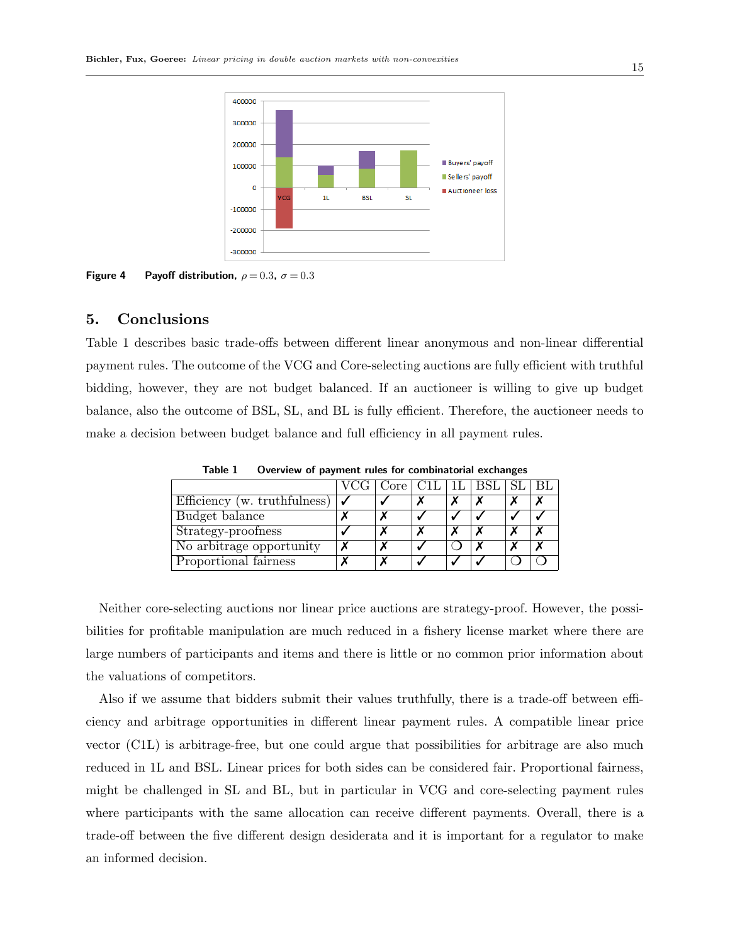

**Figure 4** Payoff distribution,  $\rho = 0.3$ ,  $\sigma = 0.3$ 

## **5. Conclusions**

Table 1 describes basic trade-offs between different linear anonymous and non-linear differential payment rules. The outcome of the VCG and Core-selecting auctions are fully efficient with truthful bidding, however, they are not budget balanced. If an auctioneer is willing to give up budget balance, also the outcome of BSL, SL, and BL is fully efficient. Therefore, the auctioneer needs to make a decision between budget balance and full efficiency in all payment rules.

|                              |  | VCG   Core   C1L   1L   BSL   SL   BL |  |  |  |  |  |
|------------------------------|--|---------------------------------------|--|--|--|--|--|
| Efficiency (w. truthfulness) |  |                                       |  |  |  |  |  |
| Budget balance               |  |                                       |  |  |  |  |  |
| Strategy-proofness           |  |                                       |  |  |  |  |  |
| No arbitrage opportunity     |  |                                       |  |  |  |  |  |
| Proportional fairness        |  | $\overline{\phantom{a}}$              |  |  |  |  |  |

**Table 1 Overview of payment rules for combinatorial exchanges**

Neither core-selecting auctions nor linear price auctions are strategy-proof. However, the possibilities for profitable manipulation are much reduced in a fishery license market where there are large numbers of participants and items and there is little or no common prior information about the valuations of competitors.

Also if we assume that bidders submit their values truthfully, there is a trade-off between efficiency and arbitrage opportunities in different linear payment rules. A compatible linear price vector (C1L) is arbitrage-free, but one could argue that possibilities for arbitrage are also much reduced in 1L and BSL. Linear prices for both sides can be considered fair. Proportional fairness, might be challenged in SL and BL, but in particular in VCG and core-selecting payment rules where participants with the same allocation can receive different payments. Overall, there is a trade-off between the five different design desiderata and it is important for a regulator to make an informed decision.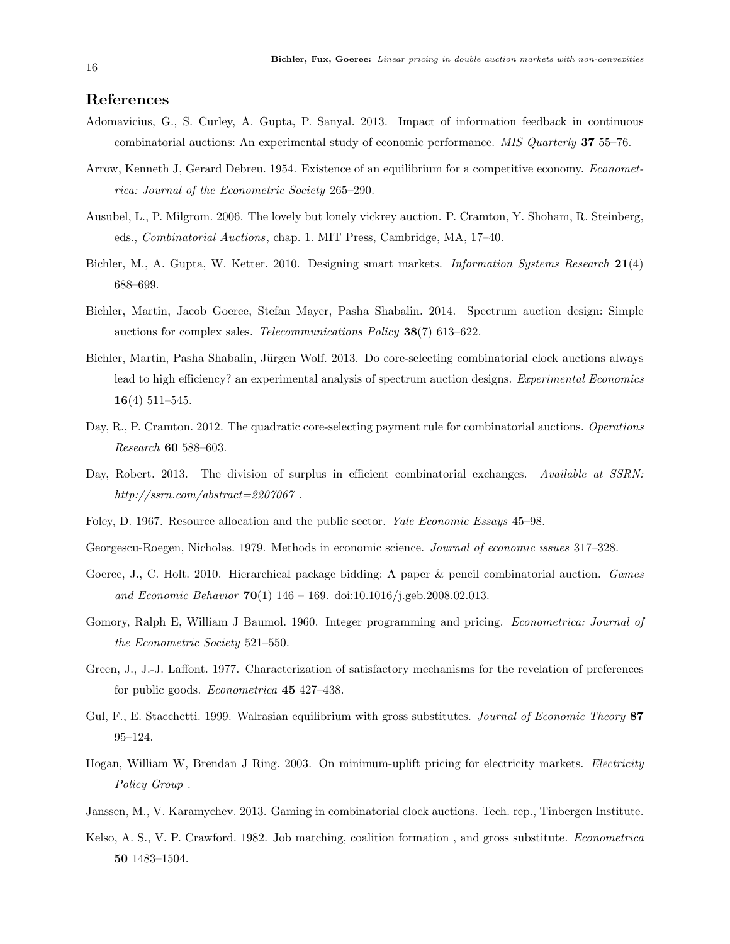## **References**

- Adomavicius, G., S. Curley, A. Gupta, P. Sanyal. 2013. Impact of information feedback in continuous combinatorial auctions: An experimental study of economic performance. *MIS Quarterly* **37** 55–76.
- Arrow, Kenneth J, Gerard Debreu. 1954. Existence of an equilibrium for a competitive economy. *Econometrica: Journal of the Econometric Society* 265–290.
- Ausubel, L., P. Milgrom. 2006. The lovely but lonely vickrey auction. P. Cramton, Y. Shoham, R. Steinberg, eds., *Combinatorial Auctions*, chap. 1. MIT Press, Cambridge, MA, 17–40.
- Bichler, M., A. Gupta, W. Ketter. 2010. Designing smart markets. *Information Systems Research* **21**(4) 688–699.
- Bichler, Martin, Jacob Goeree, Stefan Mayer, Pasha Shabalin. 2014. Spectrum auction design: Simple auctions for complex sales. *Telecommunications Policy* **38**(7) 613–622.
- Bichler, Martin, Pasha Shabalin, Jürgen Wolf. 2013. Do core-selecting combinatorial clock auctions always lead to high efficiency? an experimental analysis of spectrum auction designs. *Experimental Economics* **16**(4) 511–545.
- Day, R., P. Cramton. 2012. The quadratic core-selecting payment rule for combinatorial auctions. *Operations Research* **60** 588–603.
- Day, Robert. 2013. The division of surplus in efficient combinatorial exchanges. *Available at SSRN: http://ssrn.com/abstract=2207067* .
- Foley, D. 1967. Resource allocation and the public sector. *Yale Economic Essays* 45–98.
- Georgescu-Roegen, Nicholas. 1979. Methods in economic science. *Journal of economic issues* 317–328.
- Goeree, J., C. Holt. 2010. Hierarchical package bidding: A paper & pencil combinatorial auction. *Games and Economic Behavior* **70**(1) 146 – 169. doi:10.1016/j.geb.2008.02.013.
- Gomory, Ralph E, William J Baumol. 1960. Integer programming and pricing. *Econometrica: Journal of the Econometric Society* 521–550.
- Green, J., J.-J. Laffont. 1977. Characterization of satisfactory mechanisms for the revelation of preferences for public goods. *Econometrica* **45** 427–438.
- Gul, F., E. Stacchetti. 1999. Walrasian equilibrium with gross substitutes. *Journal of Economic Theory* **87** 95–124.
- Hogan, William W, Brendan J Ring. 2003. On minimum-uplift pricing for electricity markets. *Electricity Policy Group* .
- Janssen, M., V. Karamychev. 2013. Gaming in combinatorial clock auctions. Tech. rep., Tinbergen Institute.
- Kelso, A. S., V. P. Crawford. 1982. Job matching, coalition formation , and gross substitute. *Econometrica* **50** 1483–1504.